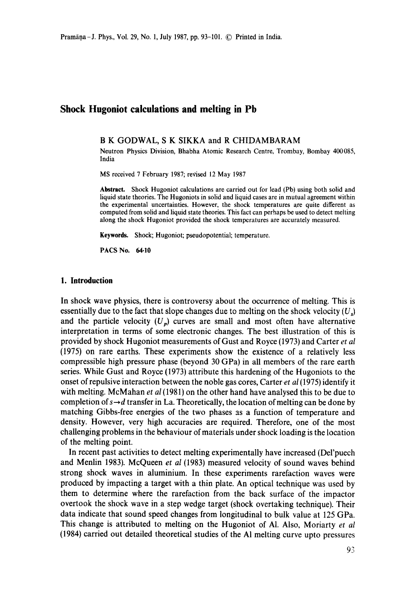# **Shock Hugoniot calculations and melting in Pb**

**B K GODWAL, S K** SIKKA and R CHIDAMBARAM

Neutron Physics Division, Bhabha Atomic Research Centre, Trombay, Bombay 400085, India

MS received 7 February 1987; revised 12 May 1987

Abstract. Shock Hugoniot calculations are carried out for lead (Pb) using both solid and liquid state theories. The Hugoniots in solid and liquid cases are in mutual agreement within the experimental uncertainties. However, the shock temperatures axe quite different as computed from solid and liquid state theories. This fact can perhaps be used to detect melting along the shock Hugoniot provided the shock temperatures are accurately measured.

**Keywords.** Shock; Hugoniot; pseudopotential; temperature.

PACS No. 64.10

### **1. Introduction**

In shock wave physics, there is controversy about the occurrence of melting. This is essentially due to the fact that slope changes due to melting on the shock velocity  $(U<sub>n</sub>)$ and the particle velocity  $(U_n)$  curves are small and most often have alternative interpretation in terms of some electronic changes. The best illustration of this is provided by shock Hugoniot measurements of Gust and Royce (1973) and Carter *et al*  (1975) on rare earths. These experiments show the existence of a relatively less compressible high pressure phase (beyond 30 GPa) in all members of the rare earth series. While Gust and Royce (1973) attribute this hardening of the Hugoniots to the onset of repulsive interaction between the noble gas cores, Carteret *al* (1975) identify it with melting. McMahan *et al* (1981) on the other hand have analysed this to be due to completion of  $s \rightarrow d$  transfer in La. Theoretically, the location of melting can be done by matching Gibbs-free energies of the two phases as a function of temperature and density. However, very high accuracies are required. Therefore, one of the most challenging problems in the behaviour of materials under shock loading is the location of the melting point.

In recent past activities to detect melting experimentally have increased (Del'puech and Menlin 1983). McQueen *et al* (1983) measured velocity of sound waves behind strong shock waves in aluminium. In these experiments rarefaction waves were produced by impacting a target with a thin plate. An optical technique was used by them to determine where the rarefaction from the back surface of the impactor overtook the shock wave in a step wedge target (shock overtaking technique). Their data indicate that sound speed changes from longitudinal to bulk value at 125 GPa. This change is attributed to melting on the Hugoniot of A1. Also, Moriarty *et al*  (1984) carried out detailed theoretical studies of the AI melting curve upto pressures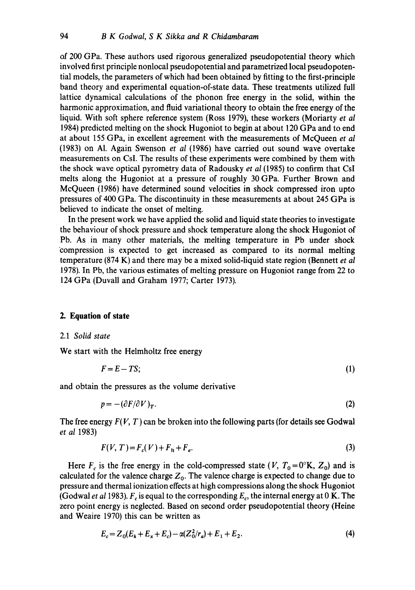of 200 GPa. These authors used rigorous generalized pseudopotential theory which involved first principle nonlocal pseudopotential and parametrized local pseudopotential models, the parameters of which had been obtained by fitting to the first-principle band theory and experimental equation-of-state data. These treatments utilized full lattice dynamical calculations of the phonon free energy in the solid, within the harmonic approximation, and fluid variational theory to obtain the free energy of the liquid. With soft sphere reference system (Ross 1979), these workers (Moriarty *et al*  1984) predicted melting on the shock Hugoniot to begin at about 120 GPa and to end at about 155 GPa, in excellent agreement with the measurements of McQueen *et al*  (1983) on AI. Again Swenson *et al* (1986) have carried out sound wave overtake measurements on CsI. The results of these experiments were combined by them with the shock wave optical pyrometry data of Radousky *et al* (1985) to confirm that CsI melts along the Hugoniot at a pressure of roughly 30 GPa. Further Brown and McQueen (1986) have determined sound velocities in shock compressed iron upto pressures of 400 GPa. The discontinuity in these measurements at about 245 GPa is believed to indicate the onset of melting.

In the present work we have applied the solid and liquid state theories to investigate the behaviour of shock pressure and shock temperature along the shock Hugoniot of Pb. As in many other materials, the melting temperature in Pb under shock compression is expected to get increased as compared to its normal melting temperature (874 K) and there may be a mixed solid-liquid state region (Bennett *et al*  1978). In Pb, the various estimates of melting pressure on Hugoniot range from 22 to 124 GPa (Duvall and Graham 1977; Carter 1973).

# **2. Equation of state**

### 2.1 *Solid state*

We start with the Helmholtz free energy

$$
F = E - TS; \tag{1}
$$

and obtain the pressures as the volume derivative

$$
p = -(\partial F/\partial V)_T. \tag{2}
$$

The free energy  $F(V, T)$  can be broken into the following parts (for details see Godwal *et al* 1983)

$$
F(V,T) = F_c(V) + F_h + F_e. \tag{3}
$$

Here  $F_c$  is the free energy in the cold-compressed state (V,  $T_0 = 0^\circ K$ ,  $Z_0$ ) and is calculated for the valence charge  $Z_0$ . The valence charge is expected to change due to pressure and thermal ionization effects at high compressions along the shock Hugoniot (Godwal *et al* 1983).  $F_c$  is equal to the corresponding  $E_c$ , the internal energy at 0 K. The zero point energy is neglected. Based on second order pseudopotential theory (Heine and Weaire 1970) this can be written as

$$
E_c = Z_0(E_k + E_x + E_c) - \alpha(Z_0^2/r_a) + E_1 + E_2. \tag{4}
$$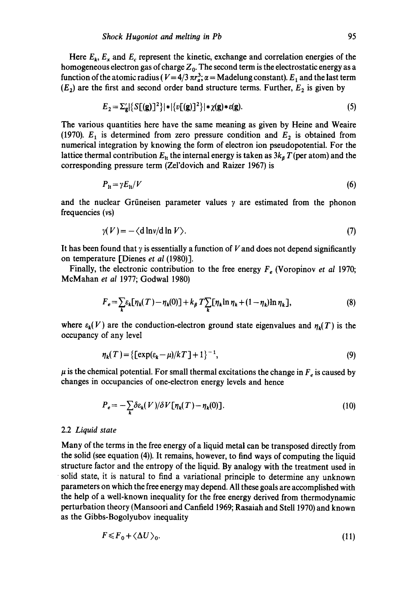Here  $E_k$ ,  $E_x$  and  $E_c$  represent the kinetic, exchange and correlation energies of the homogeneous electron gas of charge  $Z_0$ . The second term is the electrostatic energy as a function of the atomic radius ( $V=4/3 \pi r_a^3$ ;  $\alpha =$  Madelung constant).  $E_1$  and the last term  $(E_2)$  are the first and second order band structure terms. Further,  $E_2$  is given by

$$
E_2 = \sum_{g} {\left[ {\left\{ {\left. S\right[ (g) \right]}^2 } \right\}} * {\left[ {\left\{ v \right[ (g) \right]}^2 } \right]} * \chi(g) * \varepsilon(g). \tag{5}
$$

The various quantities here have the same meaning as given by Heine and Weaire (1970).  $E_1$  is determined from zero pressure condition and  $E_2$  is obtained from numerical integration by knowing the form of electron ion pseudopotential. For the lattice thermal contribution  $E<sub>h</sub>$  the internal energy is taken as  $3k<sub>g</sub> T$  (per atom) and the corresponding pressure term (Zel'dovich and Raizer 1967) is

$$
P_{\rm h} = \gamma E_{\rm h}/V \tag{6}
$$

and the nuclear Grüneisen parameter values  $\gamma$  are estimated from the phonon frequencies (vs)

$$
\gamma(V) = -\langle \mathrm{d} \ln V \rangle \tag{7}
$$

It has been found that  $\gamma$  is essentially a function of V and does not depend significantly on temperature [Dienes *et al* (1980)].

Finally, the electronic contribution to the free energy  $F_e$  (Voropinov *et al* 1970; McMahan *et al* 1977; Godwal 1980)

$$
F_e = \sum_k \varepsilon_k [\eta_k(T) - \eta_k(0)] + k_\beta T \sum_k [\eta_k \ln \eta_k + (1 - \eta_k) \ln \eta_k],
$$
\n(8)

where  $\varepsilon_k(V)$  are the conduction-electron ground state eigenvalues and  $\eta_k(T)$  is the occupancy of any level

$$
\eta_k(T) = \{ [\exp(\varepsilon_k - \mu)/kT] + 1 \}^{-1}, \tag{9}
$$

 $\mu$  is the chemical potential. For small thermal excitations the change in  $F_e$  is caused by changes in occupancies of one-electron energy levels and hence

$$
P_e = -\sum_{k} \delta \varepsilon_k(V) / \delta V[\eta_k(T) - \eta_k(0)]. \qquad (10)
$$

# 2.2 *Liquid state*

Many of the terms in the free energy of a liquid metal can be transposed directly from the solid (see equation (4)). It remains, however, to find ways of computing the liquid structure factor and the entropy of the liquid. By analogy with the treatment used in solid state, it is natural to find a variational principle to determine any unknown parameters on which the free energy may depend. All these goals are accomplished with the help of a well-known inequality for the free energy derived from thermodynamic perturbation theory (Mansoori and Canfield *1969;* Rasaiah and Stell 1970) and known as the Gibbs-Bogolyubov inequality

$$
F \leq F_0 + \langle \Delta U \rangle_0. \tag{11}
$$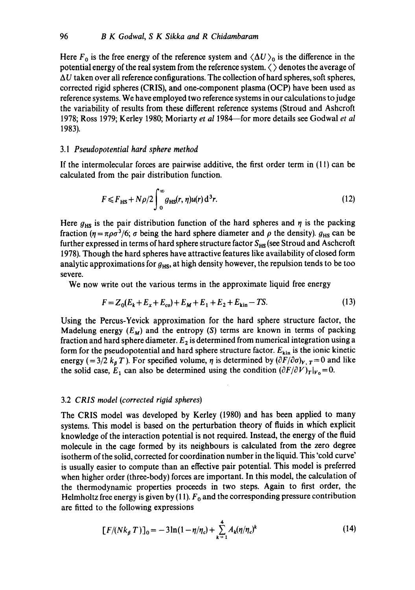Here  $F_0$  is the free energy of the reference system and  $\langle \Delta U \rangle_0$  is the difference in the potential energy of the real system from the reference system. ( ) denotes the average of  $\Delta U$  taken over all reference configurations. The collection of hard spheres, soft spheres, corrected rigid spheres (CRIS), and one-component plasma (OCP) have been used as reference systems. We have employed two reference systems in our calculations to judge the variability of results from these different reference systems (Stroud and Ashcroft 1978; Ross 1979; Kerley 1980; Moriarty *et al* 1984--for more details see Godwal *et al*  1983).

#### *3.1 Pseudopotential hard sphere method*

If the intermolecular forces are pairwise additive, the first order term in  $(11)$  can be calculated from the pair distribution function.

$$
F \leq F_{\text{HS}} + N\rho/2 \int_0^\infty g_{\text{HS}}(r, \eta) u(r) d^3r. \tag{12}
$$

Here  $g_{HS}$  is the pair distribution function of the hard spheres and  $\eta$  is the packing fraction ( $\eta = \pi \rho \sigma^3/6$ ;  $\sigma$  being the hard sphere diameter and  $\rho$  the density),  $g_{\text{HS}}$  can be further expressed in terms of hard sphere structure factor  $S_{HS}$  (see Stroud and Aschcroft 1978). Though the hard spheres have attractive features like availability of closed form analytic approximations for  $g_{HS}$ , at high density however, the repulsion tends to be too severe.

We now write out the various terms in the approximate liquid free energy

$$
F = Z_0(E_k + E_x + E_{co}) + E_M + E_1 + E_2 + E_{kin} - TS.
$$
\n(13)

Using the Percus-Yevick approximation for the hard sphere structure factor, the Madelung energy  $(E_M)$  and the entropy (S) terms are known in terms of packing fraction and hard sphere diameter.  $E_2$  is determined from numerical integration using a form for the pseudopotential and hard sphere structure factor.  $E_{kin}$  is the ionic kinetic energy (=3/2  $k_{\beta} T$ ). For specified volume,  $\eta$  is determined by  $(\partial F/\partial \sigma)_{V,T} = 0$  and like the solid case,  $E_1$  can also be determined using the condition  $(\partial F/\partial V)_T|_{V_0}=0$ .

# 3.2 *CRIS model (corrected rigid spheres)*

The CRIS model was developed by Kerley (1980) and has been applied to many systems. This model is based on the perturbation theory of fluids in which explicit knowledge of the interaction potential is not required. Instead, the energy of the fluid molecule in the cage formed by its neighbours is calculated from the zero degree isotherm of the solid, corrected for coordination number in the liquid. This 'cold curve' is usually easier to compute than an effective pair potential. This model is preferred when higher order (three-body) forces are important. In this model, the calculation of the thermodynamic properties proceeds in two steps. Again to first order, the Helmholtz free energy is given by (11).  $F_0$  and the corresponding pressure contribution are fitted to the following expressions

$$
[F/(Nk_{\beta} T)]_0 = -3\ln(1-\eta/\eta_c) + \sum_{k=1}^{4} A_k(\eta/\eta_c)^k
$$
 (14)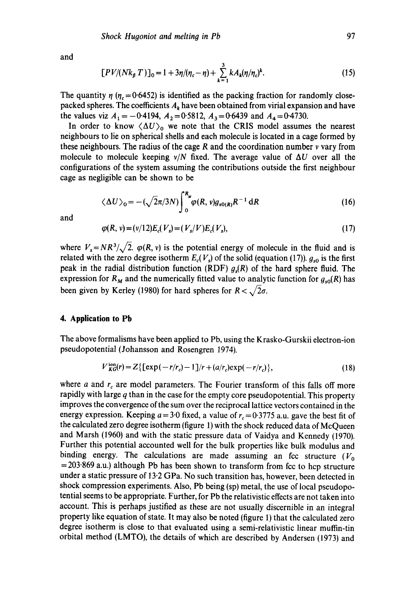and

$$
[PV/(Nk_{\beta} T)]_0 = 1 + 3\eta/(\eta_c - \eta) + \sum_{k=1}^{3} k A_k (\eta/\eta_c)^k.
$$
 (15)

The quantity  $\eta$  ( $\eta_c = 0.6452$ ) is identified as the packing fraction for randomly closepacked spheres. The coefficients  $A_k$  have been obtained from virial expansion and have the values viz  $A_1 = -0.4194$ ,  $A_2 = 0.5812$ ,  $A_3 = 0.6439$  and  $A_4 = 0.4730$ .

In order to know  $\langle \Delta U \rangle_0$  we note that the CRIS model assumes the nearest neighbours to lie on spherical shells and each molecule is located in a cage formed by these neighbours. The radius of the cage R and the coordination number  $\nu$  vary from molecule to molecule keeping  $v/N$  fixed. The average value of  $\Delta U$  over all the configurations of the system assuming the contributions outside the first neighbour cage as negligible can be shown to be

$$
\langle \Delta U \rangle_0 = -(\sqrt{2}\pi/3N) \int_0^{R_x} \varphi(R, v) g_{s0(R)} R^{-1} \, \mathrm{d}R \tag{16}
$$

and

$$
\varphi(R, v) = (v/12)E_c(V_s) = (V_s/V)E_c(V_s),
$$
\n(17)

where  $V_s = NR^3/\sqrt{2}$ .  $\varphi(R, v)$  is the potential energy of molecule in the fluid and is related with the zero degree isotherm  $E_c(V_s)$  of the solid (equation (17)).  $g_{s0}$  is the first peak in the radial distribution function (RDF)  $g_s(R)$  of the hard sphere fluid. The expression for  $R_M$  and the numerically fitted value to analytic function for  $g_{s0}(R)$  has been given by Kerley (1980) for hard spheres for  $R < \sqrt{2}\sigma$ .

# **4. Application to Pb**

The above formalisms have been applied to Pb, using the Krasko-Gurskii electron-ion pseudopotential (Johansson and Rosengren 1974).

$$
V_{KG}^{\text{ion}}(r) = Z\{[\exp(-r/r_c) - 1]/r + (a/r_c)\exp(-r/r_c)\},\tag{18}
$$

where a and  $r_c$  are model parameters. The Fourier transform of this falls off more rapidly with large  $q$  than in the case for the empty core pseudopotential. This property improves the convergence of the sum over the reciprocal lattice vectors contained in the energy expression. Keeping  $a = 3.0$  fixed, a value of  $r_c = 0.3775$  a.u. gave the best fit of the calculated zero degree isotherm (figure 1) with the shock reduced data of McQueen and Marsh (1960) and with the static pressure data of Vaidya and Kennedy (1970). Further this potential accounted well for the bulk properties like bulk modulus and binding energy. The calculations are made assuming an fcc structure  $(V_0)$  $= 203.869$  a.u.) although Pb has been shown to transform from fcc to hcp structure under a static pressure of 13.2 GPa. No such transition has, however, been detected in shock compression experiments. Also, Pb being (sp) metal, the use of local pseudopotential seems to be appropriate. Further, for Pb the relativistic effects are not taken into account. This is perhaps justified as these are not usually discernible in an integral property like equation of state. It may also be noted (figure 1) that the calculated zero degree isotherm is close to that evaluated using a semi-relativistic linear muffin-tin orbital method (LMTO), the details of which are described by Andersen (1973) and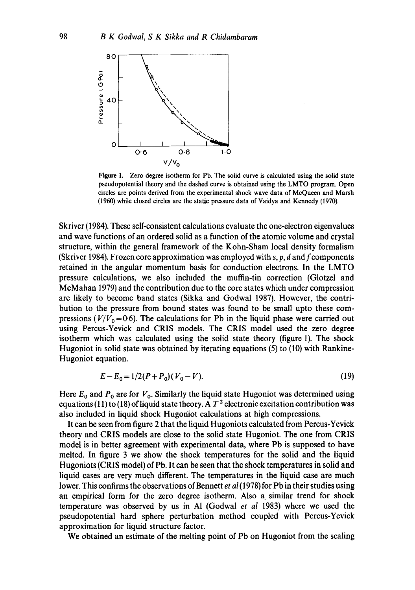

Figure 1. Zero degree isotherm for Pb. The solid curve is calculated using the solid state pseudopotential theory and the dashed curve is obtained using the LMTO program. Open circles are points derived from the experimental shock wave data of McQueen and Marsh (1960) while closed circles are the static pressure data of Vaidya and Kennedy (1970).

Skriver (1984). These self-consistent calculations evaluate the one-electron eigenvalues and wave functions of an ordered solid as a function of the atomic volume and crystal structure, within the general framework of the Kohn-Sham local density formalism (Skriver 1984). Frozen core approximation was employed with  $s, p, d$  and  $f$  components retained in the angular momentum basis for conduction electrons. In the LMTO pressure calculations, we also included the muffin-tin correction (Glotzel and McMahan 1979) and the contribution due to the core states which under compression are likely to become band states (Sikka and Godwal 1987). However, the contribution to the pressure from bound states was found to be small upto these compressions ( $V/V_0 = 0.6$ ). The calculations for Pb in the liquid phase were carried out using Percus-Yevick and CRIS models. The CRIS model used the zero degree isotherm which was calculated using the solid state theory (figure 1). The shock Hugoniot in solid state was obtained by iterating equations (5) to (10) with Rankine-Hugoniot equation.

$$
E - E_0 = 1/2(P + P_0)(V_0 - V). \tag{19}
$$

Here  $E_0$  and  $P_0$  are for  $V_0$ . Similarly the liquid state Hugoniot was determined using equations (11) to (18) of liquid state theory. A  $T^2$  electronic excitation contribution was also included in liquid shock Hugoniot calculations at high compressions.

It can be seen from figure 2 that the liquid Hugoniots calculated from Percus-Yevick theory and CRIS models are close to the solid state Hugoniot. The one from CRIS model is in better agreement with experimental data, where Pb is supposed to have melted. In figure 3 we show the shock temperatures for the solid and the liquid Hugoniots (CRIS model) of Pb. It can be seen that the shock temperatures in solid and liquid cases are very much different. The temperatures in the liquid case are much lower. This confirms the observations of Bennett *et al* (1978) for Pb in their studies using an empirical form for the zero degree isotherm. Also a similar trend for shock temperature was observed by us in AI (Godwal *et al* 1983) where we used the pseudopotential hard sphere perturbation method coupled with Percus-Yevick approximation for liquid structure factor.

We obtained an estimate of the melting point of Pb on Hugoniot from the scaling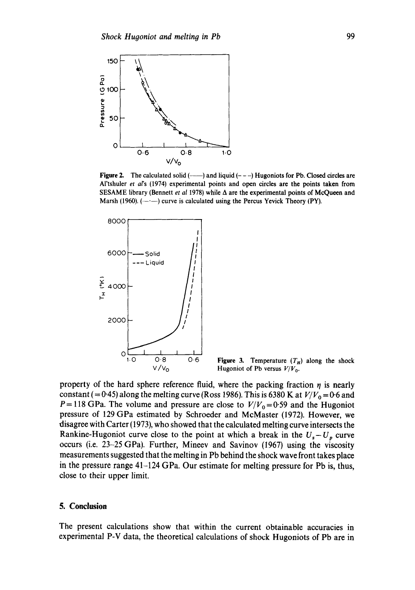

Figure 2. The calculated solid  $(---)$  and liquid  $(---)$  Hugoniots for Pb. Closed circles are Al'tshuler *et ars* (1974) experimental points and open circles are the points taken from SESAME library (Bennett *et al 1978*) while  $\Delta$  are the experimental points of McQueen and Marsh (1960).  $(-,-)$  curve is calculated using the Percus Yevick Theory (PY).



Figure 3. Temperature  $(T_H)$  along the shock Hugoniot of Pb versus  $V/V_0$ .

property of the hard sphere reference fluid, where the packing fraction  $\eta$  is nearly constant (=0.45) along the melting curve (Ross 1986). This is 6380 K at  $V/V_0 = 0.6$  and  $P = 118$  GPa. The volume and pressure are close to  $V/V_0 = 0.59$  and the Hugoniot pressure of 129 GPa estimated by Schroeder and McMaster (1972). However, we disagree with Carter (1973), who showed that the calculated melting curve intersects the Rankine-Hugoniot curve close to the point at which a break in the  $U_s-U_p$  curve occurs (i.e. 23-25 GPa). Further, Mineev and Savinov (1967) using the viscosity measurements suggested that the melting in Pb behind the shock wave front takes place in the pressure range 41-124 GPa. Our estimate for melting pressure for Pb is, thus, close to their upper limit.

# **5. Conclusion**

The present calculations show that within the current obtainable accuracies in experimental P-V data, the theoretical calculations of shock Hugoniots of Pb are in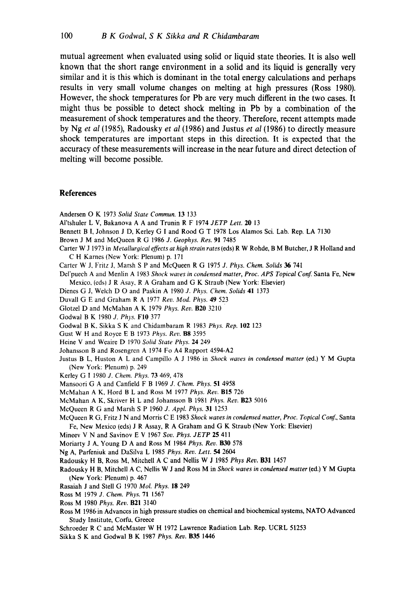**mutual agreement when evaluated using solid or liquid state theories. It is also well known that the short range environment in a solid and its liquid is generally very similar and it is this which is dominant in the total energy calculations and perhaps results in very small volume changes on melting at high pressures (Ross 1980). However, the shock temperatures for Pb are very much different in the two cases. It might thus be possible to detect shock melting in Pb by a combination of the measurement of shock temperatures and the theory. Therefore, recent attempts made by Ng** *et al* **(1985), Radousky** *et al* **(1986) and Justus** *et al* **(1986) to directly measure shock temperatures are important steps in this direction. It is expected that the accuracy of these measurements will increase in the near future and direct detection of melting will become possible.** 

#### **References**

- Andersen O K 1973 *Solid State Commun.* 13 133
- Artshuler L V, Bakanova A A and Trunin R F 1974 *JETP Lett.* 20 13
- Bennett B I, Johnson J D, Kerley G I and Rood G T 1978 Los Alamos Sci. Lab. Rep. LA 7130
- Brown J M and McQueen R G 1986 *J. Geophys. Res.* 91 7485
- Carter W J 1973 in *Metallurgical effects at high strain rates* (eds) R W Rohde, B M Butcher, J R Holland and C H Karnes (New York: Plenum) p. 171
- Carter W J, Fritz J, Marsh S P and McQueen R G 1975 *J. Phys. Chem. Solids 36* 741
- Del'puech A and Menlin A 1983 Shock waves in condensed matter, Proc. APS Topical Conf. Santa Fe, New Mexico, (eds) J R Asay, R A Graham and G K Straub (New York: Elsevier)
- Dienes G J, Welch D O and Paskin A 1980 *J. Phys. Chem. Solids* 41 1373
- Duvall G E and Graham R A 1977 *Rev. Mod. Phys.* 49 523
- Glotzel D and McMahan A K 1979 *Phys. Rev.* B20 3210 •
- Godwal B K 1980 *J. Phys.* F10 377
- Godwal B K, Sikka S K and Chidambaram R 1983 *Phys. Rep.* 102 123
- Gust W H and Royce E B 1973 *Phys. Rev.* B8 3595
- Heine V and Weaire D 1970 *Solid State Phys.* 24 249
- Johansson B and Rosengren A 1974 Fo A4 Rapport 4594-A2
- Justus B L, Huston A L and Campillo A J 1986 in *Shock waves in condensed matter* (ed.) Y M Gupta (New York: Plenum) p. 249
- Kerley G I 1980 *J. Chem. Phys.* 73 469, 478
- Mansoori G A and Canfield F B 1969 *J. Chem. Phys.* 51 4958
- McMahan A K, Hord B L and Ross M 1977 *Phys. Rev.* BI5 726
- McMahan A K, Skriver H L and Johansson B 1981 *Phys. Rev.* B23 5016
- McQueen R G and Marsh S P 1960 *J. Appl. Phys.* 31 1253
- McQueen R G, Fritz J N and Morris C E 1983 *Shock waves in condensed matter, Proc. Topical Conj.,* Santa Fe, New Mexico (eds) J R Assay, R A Graham and G K Straub (New York: Elsevier)
- Mineev V N and Savinov E V 1967 *Soy. Phys. JETP* 25 411
- Moriarty J A, Young D A and Ross M 1984 *Phys. Rev.* B30 578
- Ng A, Parfeniuk and DaSilva L 1985 *Phys. Rev. Lett. 54 2604*
- Radousky H B, Ross M, Mitchell A C and Nellis W J 1985 *Phys Rev.* B31 1457
- Radousky H B, Mitchell A C, Nellis W J and Ross M in *Shock waves in condensed matter* (ed.) Y M Gupta (New York: Plenum) p. 467
- Rasaiah J and Stell G 1970 *Mol. Phys.* 18 249
- Ross M 1979 *J. Chem.* Phys. 71 1567
- Ross M 1980 *Phys. Rev.* B21 3140
- Ross M 1986in Advances in high pressure studies on chemical and biochemical systems, NATO Advanced Study Institute, Corfu, Greece
- Schroeder R C and McMaster W H 1972 Lawrence Radiation Lab. Rep. UCRL 51253
- Sikka S K and Godwal B K 1987 *Phys. Rev.* B35 1446